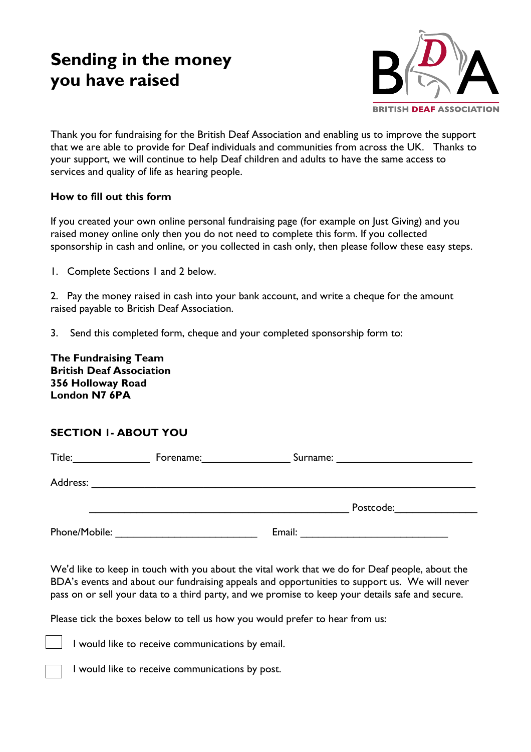# **Sending in the money you have raised**



Thank you for fundraising for the British Deaf Association and enabling us to improve the support that we are able to provide for Deaf individuals and communities from across the UK. Thanks to your support, we will continue to help Deaf children and adults to have the same access to services and quality of life as hearing people.

#### **How to fill out this form**

If you created your own online personal fundraising page (for example on Just Giving) and you raised money online only then you do not need to complete this form. If you collected sponsorship in cash and online, or you collected in cash only, then please follow these easy steps.

1. Complete Sections 1 and 2 below.

2. Pay the money raised in cash into your bank account, and write a cheque for the amount raised payable to British Deaf Association.

3. Send this completed form, cheque and your completed sponsorship form to:

**The Fundraising Team British Deaf Association 356 Holloway Road London N7 6PA** 

#### **SECTION 1- ABOUT YOU**

| Title:        | Forename: | Surname:<br><u> 1986 - Jan Samuel Barbara, martin a</u> |  |
|---------------|-----------|---------------------------------------------------------|--|
| Address:      |           |                                                         |  |
|               |           | Postcode:                                               |  |
| Phone/Mobile: |           | Email:                                                  |  |

We'd like to keep in touch with you about the vital work that we do for Deaf people, about the BDA's events and about our fundraising appeals and opportunities to support us. We will never pass on or sell your data to a third party, and we promise to keep your details safe and secure.

Please tick the boxes below to tell us how you would prefer to hear from us:

I would like to receive communications by email.

I would like to receive communications by post.